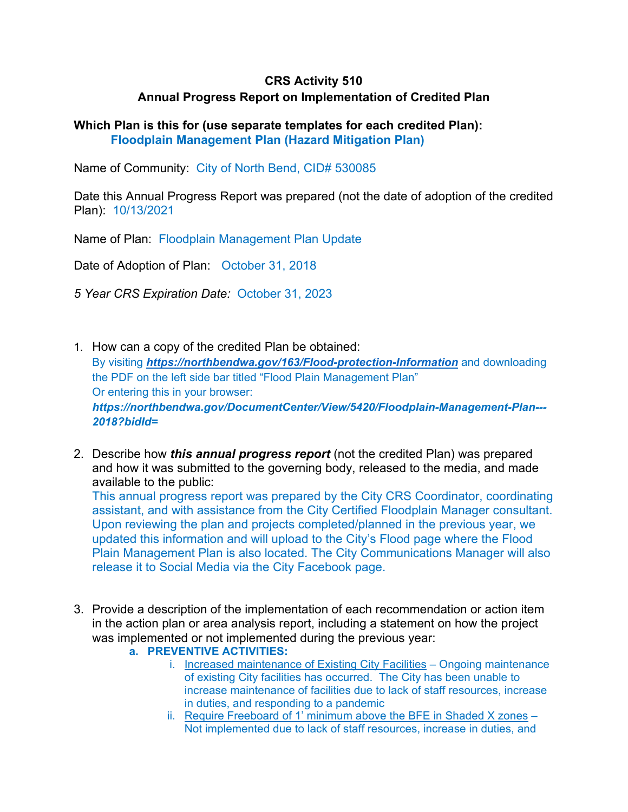# **CRS Activity 510 Annual Progress Report on Implementation of Credited Plan**

#### **Which Plan is this for (use separate templates for each credited Plan): Floodplain Management Plan (Hazard Mitigation Plan)**

Name of Community: City of North Bend, CID# 530085

Date this Annual Progress Report was prepared (not the date of adoption of the credited Plan): 10/13/2021

Name of Plan: Floodplain Management Plan Update

Date of Adoption of Plan: October 31, 2018

*5 Year CRS Expiration Date:* October 31, 2023

- 1. How can a copy of the credited Plan be obtained: By visiting *https://northbendwa.gov/163/Flood-protection-Information* and downloading the PDF on the left side bar titled "Flood Plain Management Plan" Or entering this in your browser: *https://northbendwa.gov/DocumentCenter/View/5420/Floodplain-Management-Plan--- 2018?bidId=*
- 2. Describe how *this annual progress report* (not the credited Plan) was prepared and how it was submitted to the governing body, released to the media, and made available to the public:

This annual progress report was prepared by the City CRS Coordinator, coordinating assistant, and with assistance from the City Certified Floodplain Manager consultant. Upon reviewing the plan and projects completed/planned in the previous year, we updated this information and will upload to the City's Flood page where the Flood Plain Management Plan is also located. The City Communications Manager will also release it to Social Media via the City Facebook page.

- 3. Provide a description of the implementation of each recommendation or action item in the action plan or area analysis report, including a statement on how the project was implemented or not implemented during the previous year:
	- **a. PREVENTIVE ACTIVITIES:** 
		- i. Increased maintenance of Existing City Facilities Ongoing maintenance of existing City facilities has occurred. The City has been unable to increase maintenance of facilities due to lack of staff resources, increase in duties, and responding to a pandemic
		- ii. Require Freeboard of 1' minimum above the BFE in Shaded X zones -Not implemented due to lack of staff resources, increase in duties, and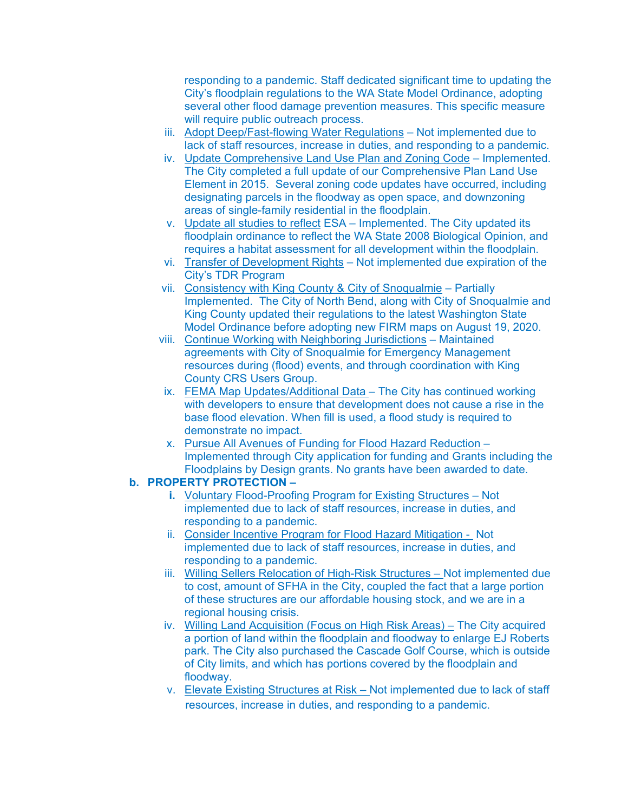responding to a pandemic. Staff dedicated significant time to updating the City's floodplain regulations to the WA State Model Ordinance, adopting several other flood damage prevention measures. This specific measure will require public outreach process.

- iii. Adopt Deep/Fast-flowing Water Regulations Not implemented due to lack of staff resources, increase in duties, and responding to a pandemic.
- iv. Update Comprehensive Land Use Plan and Zoning Code Implemented. The City completed a full update of our Comprehensive Plan Land Use Element in 2015. Several zoning code updates have occurred, including designating parcels in the floodway as open space, and downzoning areas of single-family residential in the floodplain.
- v. Update all studies to reflect ESA Implemented. The City updated its floodplain ordinance to reflect the WA State 2008 Biological Opinion, and requires a habitat assessment for all development within the floodplain.
- vi. Transfer of Development Rights Not implemented due expiration of the City's TDR Program
- vii. Consistency with King County & City of Snoqualmie Partially Implemented. The City of North Bend, along with City of Snoqualmie and King County updated their regulations to the latest Washington State Model Ordinance before adopting new FIRM maps on August 19, 2020.
- viii. Continue Working with Neighboring Jurisdictions Maintained agreements with City of Snoqualmie for Emergency Management resources during (flood) events, and through coordination with King County CRS Users Group.
- ix. FEMA Map Updates/Additional Data The City has continued working with developers to ensure that development does not cause a rise in the base flood elevation. When fill is used, a flood study is required to demonstrate no impact.
- x. Pursue All Avenues of Funding for Flood Hazard Reduction Implemented through City application for funding and Grants including the Floodplains by Design grants. No grants have been awarded to date.

#### **b. PROPERTY PROTECTION –**

- **i.** Voluntary Flood-Proofing Program for Existing Structures Not implemented due to lack of staff resources, increase in duties, and responding to a pandemic.
- ii. Consider Incentive Program for Flood Hazard Mitigation Not implemented due to lack of staff resources, increase in duties, and responding to a pandemic.
- iii. Willing Sellers Relocation of High-Risk Structures Not implemented due to cost, amount of SFHA in the City, coupled the fact that a large portion of these structures are our affordable housing stock, and we are in a regional housing crisis.
- iv. Willing Land Acquisition (Focus on High Risk Areas) The City acquired a portion of land within the floodplain and floodway to enlarge EJ Roberts park. The City also purchased the Cascade Golf Course, which is outside of City limits, and which has portions covered by the floodplain and floodway.
- v. Elevate Existing Structures at Risk Not implemented due to lack of staff resources, increase in duties, and responding to a pandemic.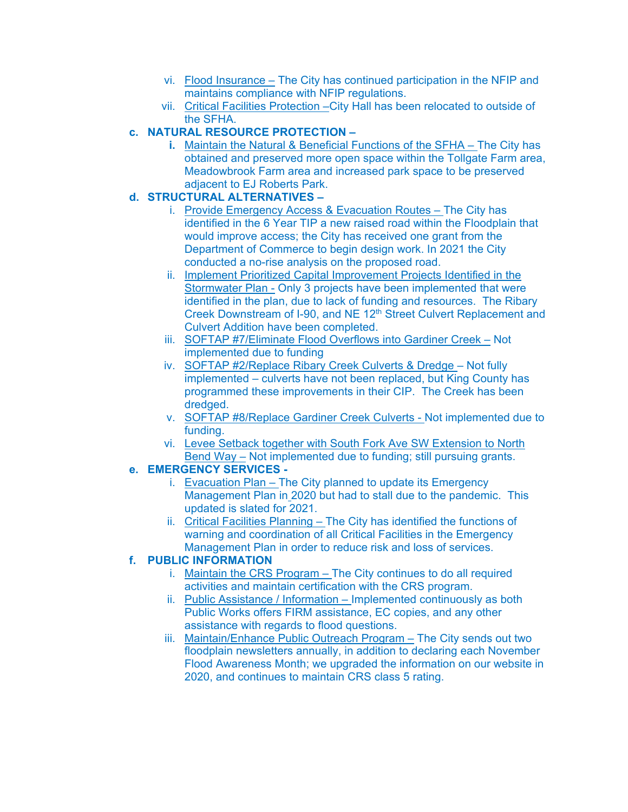- vi. Flood Insurance The City has continued participation in the NFIP and maintains compliance with NFIP regulations.
- vii. Critical Facilities Protection –City Hall has been relocated to outside of the SFHA.

### **c. NATURAL RESOURCE PROTECTION –**

**i.** Maintain the Natural & Beneficial Functions of the SFHA – The City has obtained and preserved more open space within the Tollgate Farm area, Meadowbrook Farm area and increased park space to be preserved adjacent to EJ Roberts Park.

## **d. STRUCTURAL ALTERNATIVES –**

- i. Provide Emergency Access & Evacuation Routes The City has identified in the 6 Year TIP a new raised road within the Floodplain that would improve access; the City has received one grant from the Department of Commerce to begin design work. In 2021 the City conducted a no-rise analysis on the proposed road.
- ii. Implement Prioritized Capital Improvement Projects Identified in the Stormwater Plan - Only 3 projects have been implemented that were identified in the plan, due to lack of funding and resources. The Ribary Creek Downstream of I-90, and NE 12<sup>th</sup> Street Culvert Replacement and Culvert Addition have been completed.
- iii. SOFTAP #7/Eliminate Flood Overflows into Gardiner Creek Not implemented due to funding
- iv. SOFTAP #2/Replace Ribary Creek Culverts & Dredge Not fully implemented – culverts have not been replaced, but King County has programmed these improvements in their CIP. The Creek has been dredged.
- v. SOFTAP #8/Replace Gardiner Creek Culverts Not implemented due to funding.
- vi. Levee Setback together with South Fork Ave SW Extension to North Bend Way – Not implemented due to funding; still pursuing grants.

### **e. EMERGENCY SERVICES -**

- i. Evacuation Plan The City planned to update its Emergency Management Plan in 2020 but had to stall due to the pandemic. This updated is slated for 2021.
- ii. Critical Facilities Planning The City has identified the functions of warning and coordination of all Critical Facilities in the Emergency Management Plan in order to reduce risk and loss of services.

### **f. PUBLIC INFORMATION**

- i. Maintain the CRS Program The City continues to do all required activities and maintain certification with the CRS program.
- ii. Public Assistance / Information Implemented continuously as both Public Works offers FIRM assistance, EC copies, and any other assistance with regards to flood questions.
- iii. Maintain/Enhance Public Outreach Program The City sends out two floodplain newsletters annually, in addition to declaring each November Flood Awareness Month; we upgraded the information on our website in 2020, and continues to maintain CRS class 5 rating.